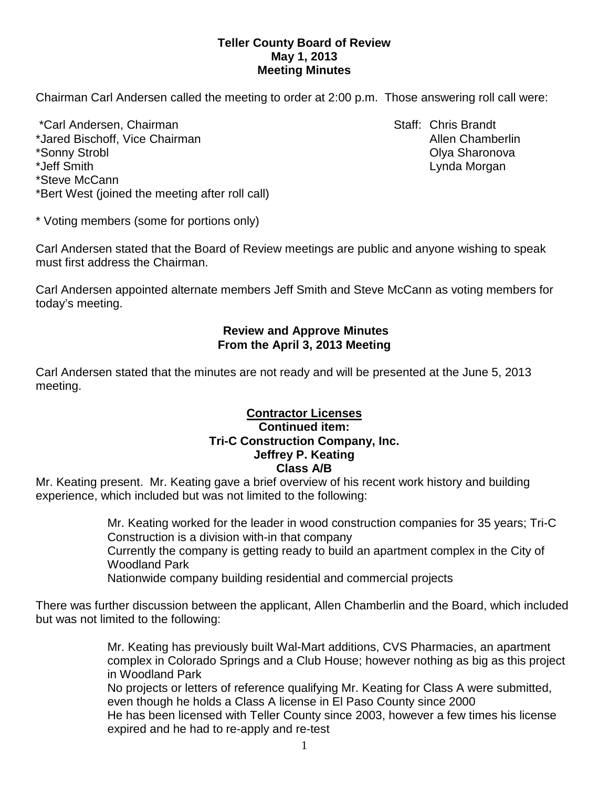### **Teller County Board of Review May 1, 2013 Meeting Minutes**

Chairman Carl Andersen called the meeting to order at 2:00 p.m. Those answering roll call were:

\*Carl Andersen, Chairman Staff: Chris Brandt \*Jared Bischoff, Vice Chairman Allen Chamberlin Allen Chamberlin \*Sonny Strobl Olya Sharonova \*Jeff Smith Lynda Morgan \*Steve McCann \*Bert West (joined the meeting after roll call)

\* Voting members (some for portions only)

Carl Andersen stated that the Board of Review meetings are public and anyone wishing to speak must first address the Chairman.

Carl Andersen appointed alternate members Jeff Smith and Steve McCann as voting members for today's meeting.

## **Review and Approve Minutes From the April 3, 2013 Meeting**

Carl Andersen stated that the minutes are not ready and will be presented at the June 5, 2013 meeting.

## **Contractor Licenses Continued item: Tri-C Construction Company, Inc. Jeffrey P. Keating Class A/B**

Mr. Keating present. Mr. Keating gave a brief overview of his recent work history and building experience, which included but was not limited to the following:

> Mr. Keating worked for the leader in wood construction companies for 35 years; Tri-C Construction is a division with-in that company

Currently the company is getting ready to build an apartment complex in the City of Woodland Park

Nationwide company building residential and commercial projects

There was further discussion between the applicant, Allen Chamberlin and the Board, which included but was not limited to the following:

> Mr. Keating has previously built Wal-Mart additions, CVS Pharmacies, an apartment complex in Colorado Springs and a Club House; however nothing as big as this project in Woodland Park

No projects or letters of reference qualifying Mr. Keating for Class A were submitted, even though he holds a Class A license in El Paso County since 2000 He has been licensed with Teller County since 2003, however a few times his license expired and he had to re-apply and re-test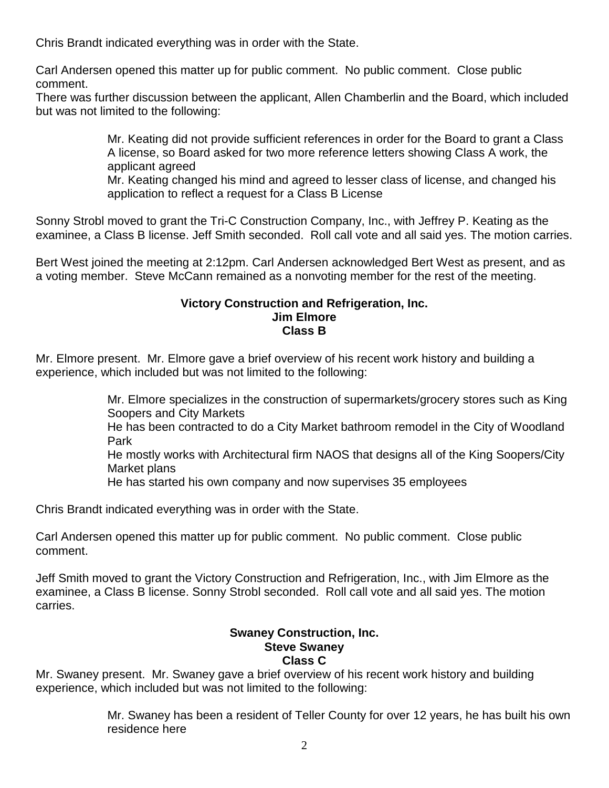Chris Brandt indicated everything was in order with the State.

Carl Andersen opened this matter up for public comment. No public comment. Close public comment.

There was further discussion between the applicant, Allen Chamberlin and the Board, which included but was not limited to the following:

> Mr. Keating did not provide sufficient references in order for the Board to grant a Class A license, so Board asked for two more reference letters showing Class A work, the applicant agreed

Mr. Keating changed his mind and agreed to lesser class of license, and changed his application to reflect a request for a Class B License

Sonny Strobl moved to grant the Tri-C Construction Company, Inc., with Jeffrey P. Keating as the examinee, a Class B license. Jeff Smith seconded. Roll call vote and all said yes. The motion carries.

Bert West joined the meeting at 2:12pm. Carl Andersen acknowledged Bert West as present, and as a voting member. Steve McCann remained as a nonvoting member for the rest of the meeting.

#### **Victory Construction and Refrigeration, Inc. Jim Elmore Class B**

Mr. Elmore present. Mr. Elmore gave a brief overview of his recent work history and building a experience, which included but was not limited to the following:

> Mr. Elmore specializes in the construction of supermarkets/grocery stores such as King Soopers and City Markets

> He has been contracted to do a City Market bathroom remodel in the City of Woodland Park

> He mostly works with Architectural firm NAOS that designs all of the King Soopers/City Market plans

He has started his own company and now supervises 35 employees

Chris Brandt indicated everything was in order with the State.

Carl Andersen opened this matter up for public comment. No public comment. Close public comment.

Jeff Smith moved to grant the Victory Construction and Refrigeration, Inc., with Jim Elmore as the examinee, a Class B license. Sonny Strobl seconded. Roll call vote and all said yes. The motion carries.

# **Swaney Construction, Inc. Steve Swaney**

## **Class C**

Mr. Swaney present. Mr. Swaney gave a brief overview of his recent work history and building experience, which included but was not limited to the following:

> Mr. Swaney has been a resident of Teller County for over 12 years, he has built his own residence here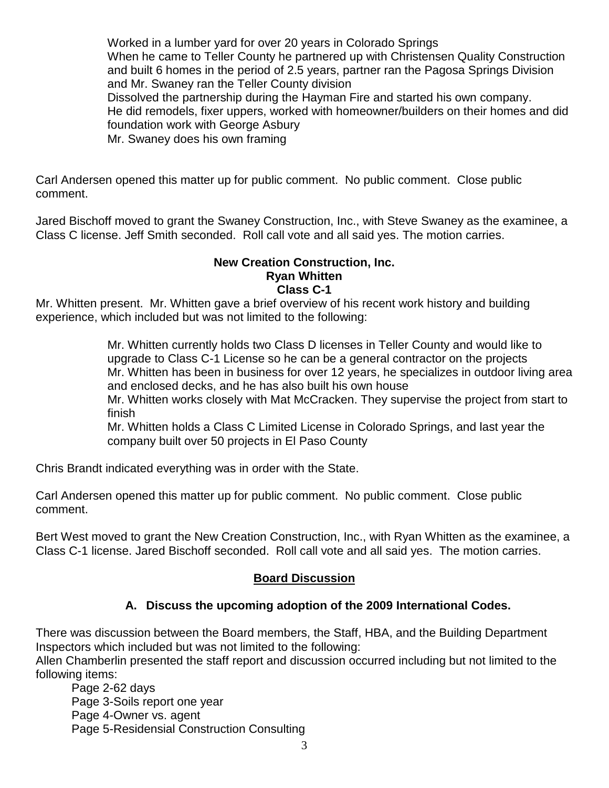Worked in a lumber yard for over 20 years in Colorado Springs When he came to Teller County he partnered up with Christensen Quality Construction and built 6 homes in the period of 2.5 years, partner ran the Pagosa Springs Division and Mr. Swaney ran the Teller County division Dissolved the partnership during the Hayman Fire and started his own company. He did remodels, fixer uppers, worked with homeowner/builders on their homes and did foundation work with George Asbury Mr. Swaney does his own framing

Carl Andersen opened this matter up for public comment. No public comment. Close public comment.

Jared Bischoff moved to grant the Swaney Construction, Inc., with Steve Swaney as the examinee, a Class C license. Jeff Smith seconded. Roll call vote and all said yes. The motion carries.

#### **New Creation Construction, Inc. Ryan Whitten Class C-1**

Mr. Whitten present. Mr. Whitten gave a brief overview of his recent work history and building experience, which included but was not limited to the following:

> Mr. Whitten currently holds two Class D licenses in Teller County and would like to upgrade to Class C-1 License so he can be a general contractor on the projects Mr. Whitten has been in business for over 12 years, he specializes in outdoor living area and enclosed decks, and he has also built his own house

Mr. Whitten works closely with Mat McCracken. They supervise the project from start to finish

Mr. Whitten holds a Class C Limited License in Colorado Springs, and last year the company built over 50 projects in El Paso County

Chris Brandt indicated everything was in order with the State.

Carl Andersen opened this matter up for public comment. No public comment. Close public comment.

Bert West moved to grant the New Creation Construction, Inc., with Ryan Whitten as the examinee, a Class C-1 license. Jared Bischoff seconded. Roll call vote and all said yes. The motion carries.

## **Board Discussion**

# **A. Discuss the upcoming adoption of the 2009 International Codes.**

There was discussion between the Board members, the Staff, HBA, and the Building Department Inspectors which included but was not limited to the following:

Allen Chamberlin presented the staff report and discussion occurred including but not limited to the following items:

Page 2-62 days Page 3-Soils report one year Page 4-Owner vs. agent Page 5-Residensial Construction Consulting